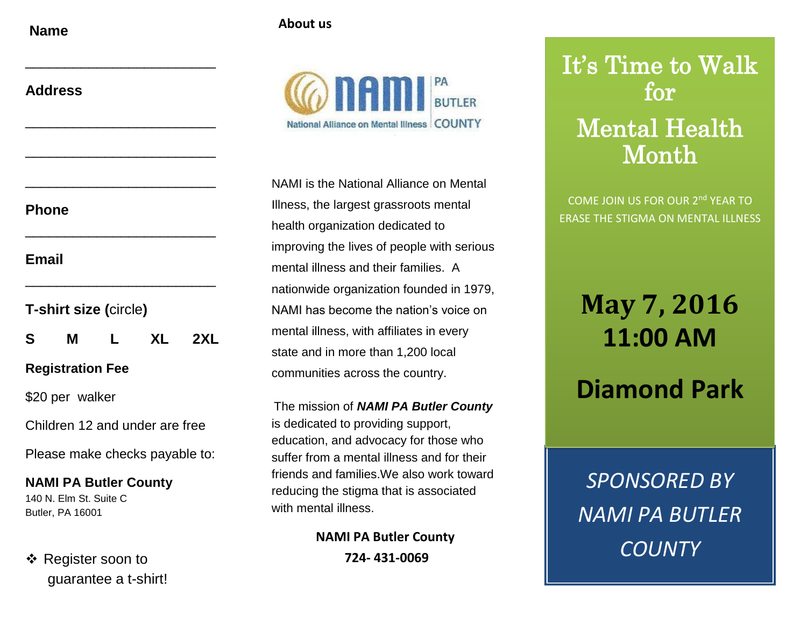**Name**

| About us |  |
|----------|--|
|----------|--|

| <b>Phone</b> |  |
|--------------|--|

**Email**

- **T-shirt size (**circle**)**

**S M L XL 2XL**

\_\_\_\_\_\_\_\_\_\_\_\_\_\_\_\_\_\_\_\_\_\_\_\_

\_\_\_\_\_\_\_\_\_\_\_\_\_\_\_\_\_\_\_\_\_\_\_\_

\_\_\_\_\_\_\_\_\_\_\_\_\_\_\_\_\_\_\_\_\_\_\_\_

\_\_\_\_\_\_\_\_\_\_\_\_\_\_\_\_\_\_\_\_\_\_\_\_

\_\_\_\_\_\_\_\_\_\_\_\_\_\_\_\_\_\_\_\_\_\_\_\_

\_\_\_\_\_\_\_\_\_\_\_\_\_\_\_\_\_\_\_\_\_\_\_\_

## **Registration Fee**

\$20 per walker

Children 12 and under are free

Please make checks payable to:

**NAMI PA Butler County** 140 N. Elm St. Suite C Butler, PA 16001

❖ Register soon to guarantee a t-shirt!



NAMI is the National Alliance on Mental Illness, the largest grassroots mental health organization dedicated to improving the lives of people with serious mental illness and their families. A nationwide organization founded in 1979, NAMI has become the nation's voice on mental illness, with affiliates in every state and in more than 1,200 local communities across the country.

The mission of *NAMI PA Butler County* is dedicated to providing support, education, and advocacy for those who suffer from a mental illness and for their friends and families.We also work toward reducing the stigma that is associated with mental illness.

> **NAMI PA Butler County 724- 431-0069**

## It's Time to Walk for Mental Health Month

COME JOIN US FOR OUR 2nd YEAR TO ERASE THE STIGMA ON MENTAL ILLNESS

**May 7, 2016 11:00 AM**

**Diamond Park**

*SPONSORED BY NAMI PA BUTLER COUNTY*